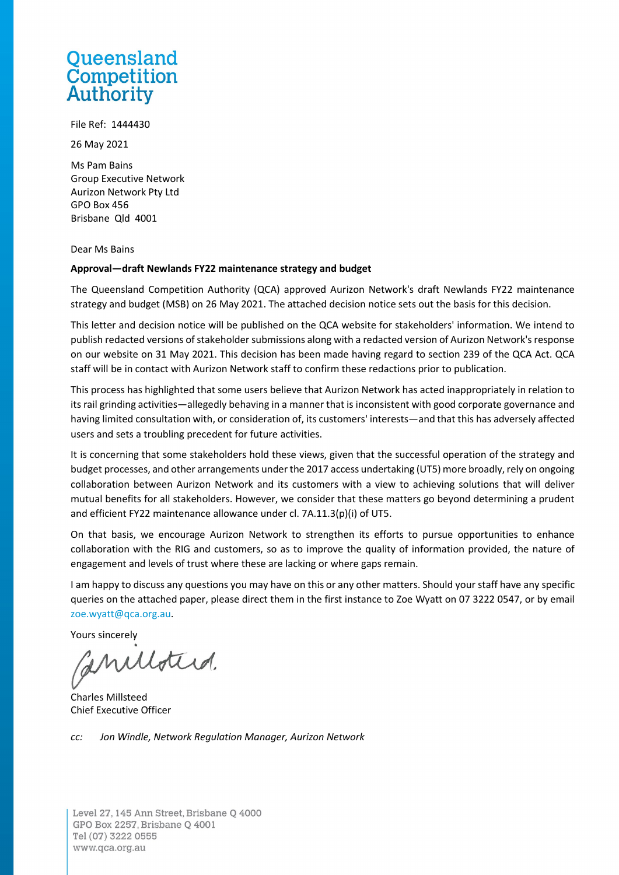### **Oueensland** Competition **Authority**

File Ref: 1444430

26 May 2021

Ms Pam Bains Group Executive Network Aurizon Network Pty Ltd GPO Box 456 Brisbane Qld 4001

Dear Ms Bains

#### **Approval—draft Newlands FY22 maintenance strategy and budget**

The Queensland Competition Authority (QCA) approved Aurizon Network's draft Newlands FY22 maintenance strategy and budget (MSB) on 26 May 2021. The attached decision notice sets out the basis for this decision.

This letter and decision notice will be published on the QCA website for stakeholders' information. We intend to publish redacted versions of stakeholder submissions along with a redacted version of Aurizon Network's response on our website on 31 May 2021. This decision has been made having regard to section 239 of the QCA Act. QCA staff will be in contact with Aurizon Network staff to confirm these redactions prior to publication.

This process has highlighted that some users believe that Aurizon Network has acted inappropriately in relation to its rail grinding activities—allegedly behaving in a manner that is inconsistent with good corporate governance and having limited consultation with, or consideration of, its customers' interests—and that this has adversely affected users and sets a troubling precedent for future activities.

It is concerning that some stakeholders hold these views, given that the successful operation of the strategy and budget processes, and other arrangements under the 2017 access undertaking (UT5) more broadly, rely on ongoing collaboration between Aurizon Network and its customers with a view to achieving solutions that will deliver mutual benefits for all stakeholders. However, we consider that these matters go beyond determining a prudent and efficient FY22 maintenance allowance under cl. 7A.11.3(p)(i) of UT5.

On that basis, we encourage Aurizon Network to strengthen its efforts to pursue opportunities to enhance collaboration with the RIG and customers, so as to improve the quality of information provided, the nature of engagement and levels of trust where these are lacking or where gaps remain.

I am happy to discuss any questions you may have on this or any other matters. Should your staff have any specific queries on the attached paper, please direct them in the first instance to Zoe Wyatt on 07 3222 0547, or by email [zoe.wyatt@qca.org.au.](mailto:zoe.wyatt@qca.org.au)

Yours sincerely

anuloted.

Charles Millsteed Chief Executive Officer

*cc: Jon Windle, Network Regulation Manager, Aurizon Network*

Level 27, 145 Ann Street, Brisbane Q 4000 GPO Box 2257, Brisbane Q 4001 Tel (07) 3222 0555 www.qca.org.au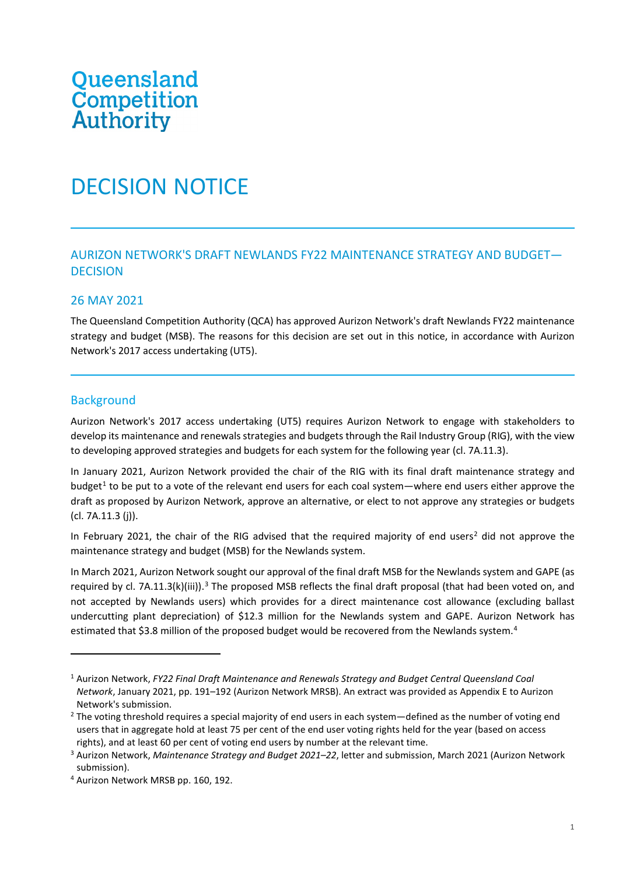# Queensland<br>Competition **Authority**

## DECISION NOTICE

#### AURIZON NETWORK'S DRAFT NEWLANDS FY22 MAINTENANCE STRATEGY AND BUDGET— **DECISION**

#### 26 MAY 2021

The Queensland Competition Authority (QCA) has approved Aurizon Network's draft Newlands FY22 maintenance strategy and budget (MSB). The reasons for this decision are set out in this notice, in accordance with Aurizon Network's 2017 access undertaking (UT5).

#### **Background**

Aurizon Network's 2017 access undertaking (UT5) requires Aurizon Network to engage with stakeholders to develop its maintenance and renewals strategies and budgets through the Rail Industry Group (RIG), with the view to developing approved strategies and budgets for each system for the following year (cl. 7A.11.3).

In January 2021, Aurizon Network provided the chair of the RIG with its final draft maintenance strategy and budget<sup>[1](#page-1-0)</sup> to be put to a vote of the relevant end users for each coal system—where end users either approve the draft as proposed by Aurizon Network, approve an alternative, or elect to not approve any strategies or budgets (cl. 7A.11.3 (j)).

In February [2](#page-1-1)021, the chair of the RIG advised that the required majority of end users<sup>2</sup> did not approve the maintenance strategy and budget (MSB) for the Newlands system.

In March 2021, Aurizon Network sought our approval of the final draft MSB for the Newlands system and GAPE (as required by cl. 7A.11.[3](#page-1-2)(k)(iii)).<sup>3</sup> The proposed MSB reflects the final draft proposal (that had been voted on, and not accepted by Newlands users) which provides for a direct maintenance cost allowance (excluding ballast undercutting plant depreciation) of \$12.3 million for the Newlands system and GAPE. Aurizon Network has estimated that \$3.8 million of the proposed budget would be recovered from the Newlands system.<sup>[4](#page-1-3)</sup>

<span id="page-1-0"></span><sup>1</sup> Aurizon Network, *FY22 Final Draft Maintenance and Renewals Strategy and Budget Central Queensland Coal Network*, January 2021, pp. 191–192 (Aurizon Network MRSB). An extract was provided as Appendix E to Aurizon Network's submission.

<span id="page-1-1"></span> $2$  The voting threshold requires a special majority of end users in each system—defined as the number of voting end users that in aggregate hold at least 75 per cent of the end user voting rights held for the year (based on access rights), and at least 60 per cent of voting end users by number at the relevant time.

<span id="page-1-2"></span><sup>3</sup> Aurizon Network, *Maintenance Strategy and Budget 2021–22*, letter and submission, March 2021 (Aurizon Network submission).

<span id="page-1-3"></span><sup>4</sup> Aurizon Network MRSB pp. 160, 192.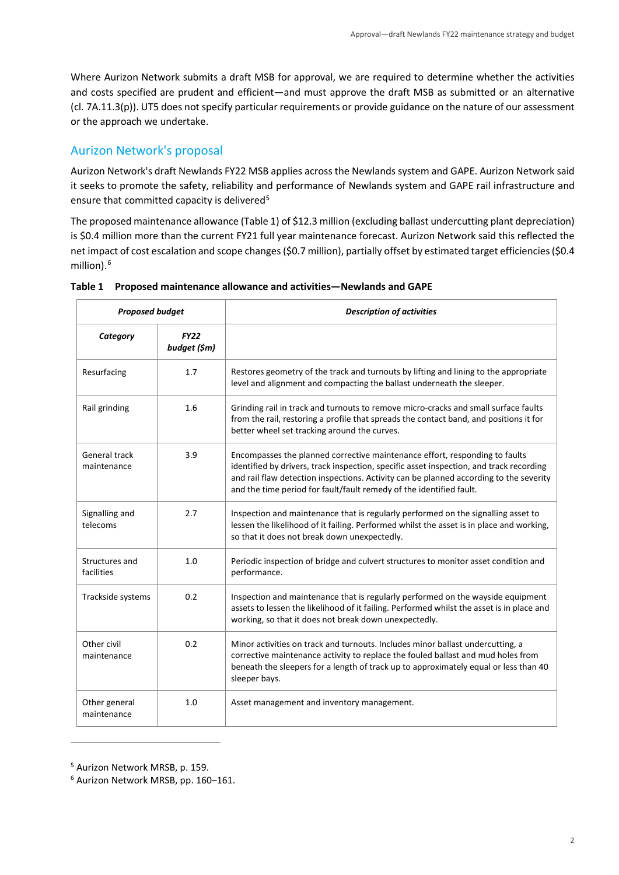Where Aurizon Network submits a draft MSB for approval, we are required to determine whether the activities and costs specified are prudent and efficient—and must approve the draft MSB as submitted or an alternative (cl. 7A.11.3(p)). UT5 does not specify particular requirements or provide guidance on the nature of our assessment or the approach we undertake.

#### Aurizon Network's proposal

Aurizon Network's draft Newlands FY22 MSB applies across the Newlands system and GAPE. Aurizon Network said it seeks to promote the safety, reliability and performance of Newlands system and GAPE rail infrastructure and ensure that committed capacity is delivered<sup>[5](#page-2-0)</sup>

The proposed maintenance allowance (Table 1) of \$12.3 million (excluding ballast undercutting plant depreciation) is \$0.4 million more than the current FY21 full year maintenance forecast. Aurizon Network said this reflected the net impact of cost escalation and scope changes (\$0.7 million), partially offset by estimated target efficiencies (\$0.4 million).<sup>[6](#page-2-1)</sup>

| <b>Proposed budget</b>       |                             | <b>Description of activities</b>                                                                                                                                                                                                                                                                                                        |
|------------------------------|-----------------------------|-----------------------------------------------------------------------------------------------------------------------------------------------------------------------------------------------------------------------------------------------------------------------------------------------------------------------------------------|
| Category                     | <b>FY22</b><br>budget (\$m) |                                                                                                                                                                                                                                                                                                                                         |
| Resurfacing                  | 1.7                         | Restores geometry of the track and turnouts by lifting and lining to the appropriate<br>level and alignment and compacting the ballast underneath the sleeper.                                                                                                                                                                          |
| Rail grinding                | 1.6                         | Grinding rail in track and turnouts to remove micro-cracks and small surface faults<br>from the rail, restoring a profile that spreads the contact band, and positions it for<br>better wheel set tracking around the curves.                                                                                                           |
| General track<br>maintenance | 3.9                         | Encompasses the planned corrective maintenance effort, responding to faults<br>identified by drivers, track inspection, specific asset inspection, and track recording<br>and rail flaw detection inspections. Activity can be planned according to the severity<br>and the time period for fault/fault remedy of the identified fault. |
| Signalling and<br>telecoms   | 2.7                         | Inspection and maintenance that is regularly performed on the signalling asset to<br>lessen the likelihood of it failing. Performed whilst the asset is in place and working,<br>so that it does not break down unexpectedly.                                                                                                           |
| Structures and<br>facilities | 1.0                         | Periodic inspection of bridge and culvert structures to monitor asset condition and<br>performance.                                                                                                                                                                                                                                     |
| Trackside systems            | 0.2                         | Inspection and maintenance that is regularly performed on the wayside equipment<br>assets to lessen the likelihood of it failing. Performed whilst the asset is in place and<br>working, so that it does not break down unexpectedly.                                                                                                   |
| Other civil<br>maintenance   | 0.2                         | Minor activities on track and turnouts. Includes minor ballast undercutting, a<br>corrective maintenance activity to replace the fouled ballast and mud holes from<br>beneath the sleepers for a length of track up to approximately equal or less than 40<br>sleeper bays.                                                             |
| Other general<br>maintenance | 1.0                         | Asset management and inventory management.                                                                                                                                                                                                                                                                                              |

#### **Table 1 Proposed maintenance allowance and activities—Newlands and GAPE**

<span id="page-2-0"></span><sup>5</sup> Aurizon Network MRSB, p. 159.

<span id="page-2-1"></span><sup>6</sup> Aurizon Network MRSB, pp. 160–161.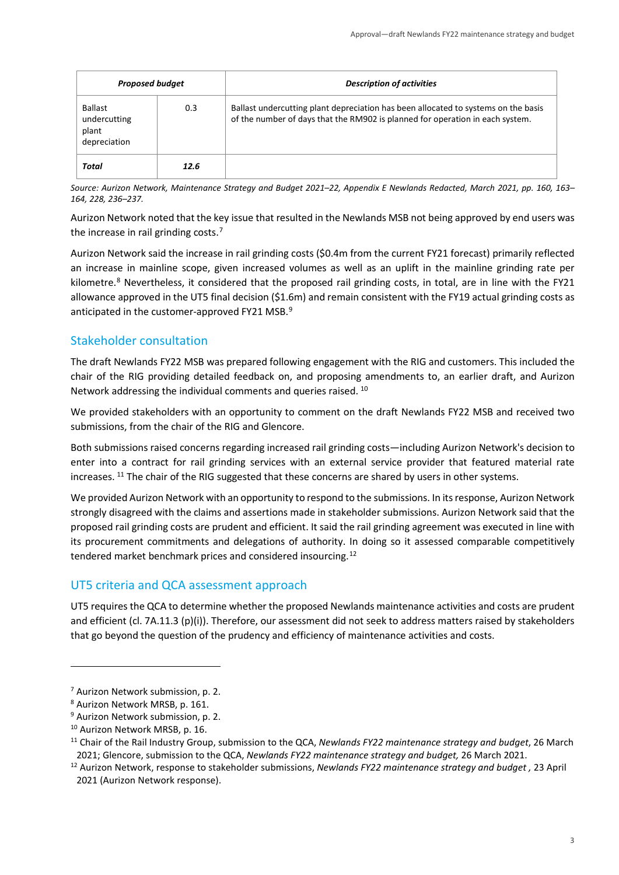| <b>Proposed budget</b>                           |      | <b>Description of activities</b>                                                                                                                                    |
|--------------------------------------------------|------|---------------------------------------------------------------------------------------------------------------------------------------------------------------------|
| Ballast<br>undercutting<br>plant<br>depreciation | 0.3  | Ballast undercutting plant depreciation has been allocated to systems on the basis<br>of the number of days that the RM902 is planned for operation in each system. |
| Total                                            | 12.6 |                                                                                                                                                                     |

*Source: Aurizon Network, Maintenance Strategy and Budget 2021–22, Appendix E Newlands Redacted, March 2021, pp. 160, 163– 164, 228, 236–237.*

Aurizon Network noted that the key issue that resulted in the Newlands MSB not being approved by end users was the increase in rail grinding costs.<sup>[7](#page-3-0)</sup>

Aurizon Network said the increase in rail grinding costs (\$0.4m from the current FY21 forecast) primarily reflected an increase in mainline scope, given increased volumes as well as an uplift in the mainline grinding rate per kilometre.<sup>[8](#page-3-1)</sup> Nevertheless, it considered that the proposed rail grinding costs, in total, are in line with the FY21 allowance approved in the UT5 final decision (\$1.6m) and remain consistent with the FY19 actual grinding costs as anticipated in the customer-approved FY21 MSB. $^{9}$  $^{9}$  $^{9}$ 

#### Stakeholder consultation

The draft Newlands FY22 MSB was prepared following engagement with the RIG and customers. This included the chair of the RIG providing detailed feedback on, and proposing amendments to, an earlier draft, and Aurizon Network addressing the individual comments and queries raised. [10](#page-3-3)

We provided stakeholders with an opportunity to comment on the draft Newlands FY22 MSB and received two submissions, from the chair of the RIG and Glencore.

Both submissions raised concerns regarding increased rail grinding costs—including Aurizon Network's decision to enter into a contract for rail grinding services with an external service provider that featured material rate increases. [11](#page-3-4) The chair of the RIG suggested that these concerns are shared by users in other systems.

We provided Aurizon Network with an opportunity to respond to the submissions. In itsresponse, Aurizon Network strongly disagreed with the claims and assertions made in stakeholder submissions. Aurizon Network said that the proposed rail grinding costs are prudent and efficient. It said the rail grinding agreement was executed in line with its procurement commitments and delegations of authority. In doing so it assessed comparable competitively tendered market benchmark prices and considered insourcing.[12](#page-3-5)

#### UT5 criteria and QCA assessment approach

UT5 requires the QCA to determine whether the proposed Newlands maintenance activities and costs are prudent and efficient (cl. 7A.11.3 (p)(i)). Therefore, our assessment did not seek to address matters raised by stakeholders that go beyond the question of the prudency and efficiency of maintenance activities and costs.

<span id="page-3-0"></span><sup>&</sup>lt;sup>7</sup> Aurizon Network submission, p. 2.<br><sup>8</sup> Aurizon Network MRSB, p. 161.

<span id="page-3-1"></span>

<span id="page-3-2"></span><sup>&</sup>lt;sup>9</sup> Aurizon Network submission, p. 2.

<span id="page-3-3"></span><sup>&</sup>lt;sup>10</sup> Aurizon Network MRSB, p. 16.

<span id="page-3-4"></span><sup>11</sup> Chair of the Rail Industry Group, submission to the QCA, *Newlands FY22 maintenance strategy and budget*, 26 March 2021; Glencore, submission to the QCA, *Newlands FY22 maintenance strategy and budget,* 26 March 2021.

<span id="page-3-5"></span><sup>12</sup> Aurizon Network, response to stakeholder submissions, *Newlands FY22 maintenance strategy and budget ,* 23 April 2021 (Aurizon Network response).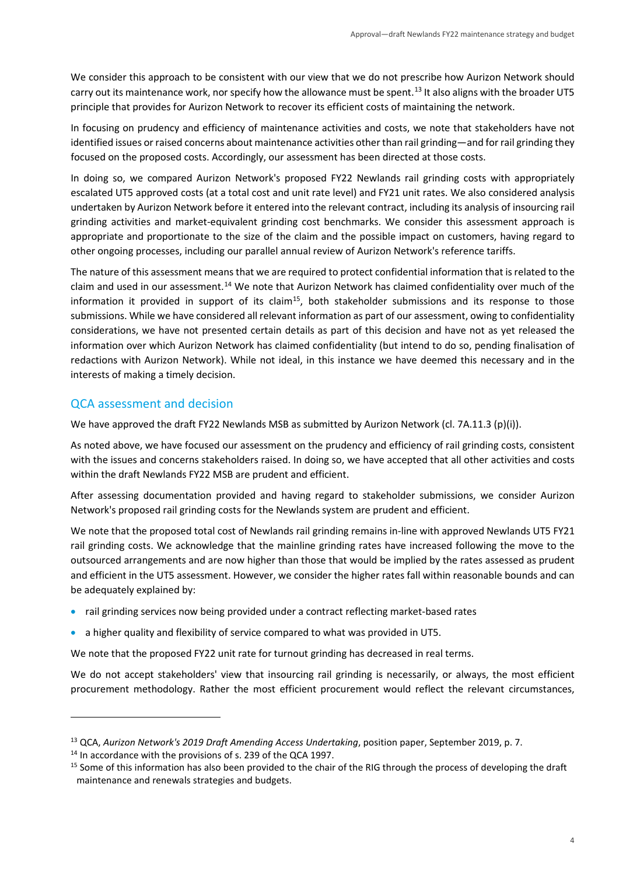We consider this approach to be consistent with our view that we do not prescribe how Aurizon Network should carry out its maintenance work, nor specify how the allowance must be spent.<sup>[13](#page-4-0)</sup> It also aligns with the broader UT5 principle that provides for Aurizon Network to recover its efficient costs of maintaining the network.

In focusing on prudency and efficiency of maintenance activities and costs, we note that stakeholders have not identified issues or raised concerns about maintenance activities other than rail grinding—and for rail grinding they focused on the proposed costs. Accordingly, our assessment has been directed at those costs.

In doing so, we compared Aurizon Network's proposed FY22 Newlands rail grinding costs with appropriately escalated UT5 approved costs (at a total cost and unit rate level) and FY21 unit rates. We also considered analysis undertaken by Aurizon Network before it entered into the relevant contract, including its analysis of insourcing rail grinding activities and market-equivalent grinding cost benchmarks. We consider this assessment approach is appropriate and proportionate to the size of the claim and the possible impact on customers, having regard to other ongoing processes, including our parallel annual review of Aurizon Network's reference tariffs.

The nature of this assessment means that we are required to protect confidential information that is related to the claim and used in our assessment.[14](#page-4-1) We note that Aurizon Network has claimed confidentiality over much of the information it provided in support of its claim<sup>15</sup>, both stakeholder submissions and its response to those submissions. While we have considered all relevant information as part of our assessment, owing to confidentiality considerations, we have not presented certain details as part of this decision and have not as yet released the information over which Aurizon Network has claimed confidentiality (but intend to do so, pending finalisation of redactions with Aurizon Network). While not ideal, in this instance we have deemed this necessary and in the interests of making a timely decision.

#### QCA assessment and decision

We have approved the draft FY22 Newlands MSB as submitted by Aurizon Network (cl. 7A.11.3 (p)(i)).

As noted above, we have focused our assessment on the prudency and efficiency of rail grinding costs, consistent with the issues and concerns stakeholders raised. In doing so, we have accepted that all other activities and costs within the draft Newlands FY22 MSB are prudent and efficient.

After assessing documentation provided and having regard to stakeholder submissions, we consider Aurizon Network's proposed rail grinding costs for the Newlands system are prudent and efficient.

We note that the proposed total cost of Newlands rail grinding remains in-line with approved Newlands UT5 FY21 rail grinding costs. We acknowledge that the mainline grinding rates have increased following the move to the outsourced arrangements and are now higher than those that would be implied by the rates assessed as prudent and efficient in the UT5 assessment. However, we consider the higher rates fall within reasonable bounds and can be adequately explained by:

- rail grinding services now being provided under a contract reflecting market-based rates
- a higher quality and flexibility of service compared to what was provided in UT5.

We note that the proposed FY22 unit rate for turnout grinding has decreased in real terms.

We do not accept stakeholders' view that insourcing rail grinding is necessarily, or always, the most efficient procurement methodology. Rather the most efficient procurement would reflect the relevant circumstances,

<span id="page-4-0"></span><sup>13</sup> QCA, *Aurizon Network's 2019 Draft Amending Access Undertaking*, position paper, September 2019, p. 7.

<span id="page-4-1"></span><sup>&</sup>lt;sup>14</sup> In accordance with the provisions of s. 239 of the QCA 1997.

<span id="page-4-2"></span><sup>&</sup>lt;sup>15</sup> Some of this information has also been provided to the chair of the RIG through the process of developing the draft maintenance and renewals strategies and budgets.